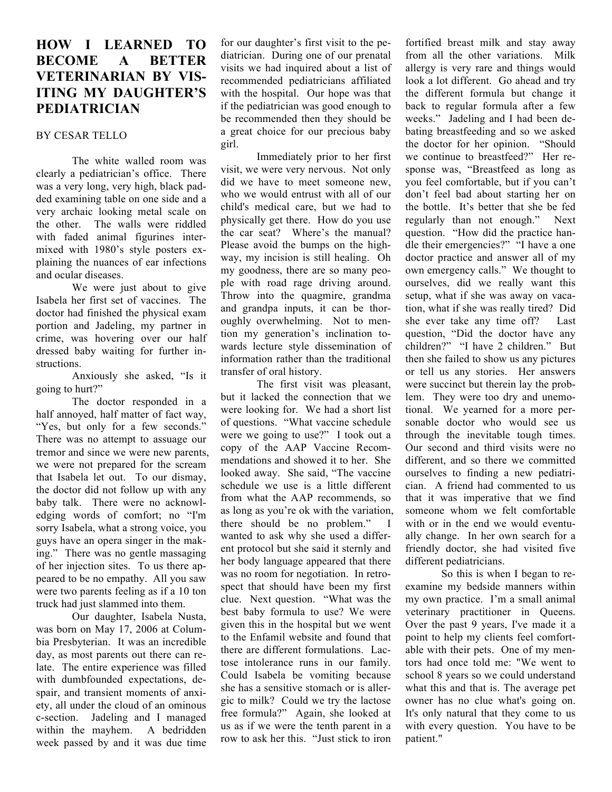## **HOW I LEARNED TO BECOME A BETTER VETERINARIAN BY VIS-ITING MY DAUGHTER'S PEDIATRICIAN**

## BY CESAR TELLO

The white walled room was clearly a pediatrician's office. There was a very long, very high, black padded examining table on one side and a very archaic looking metal scale on the other. The walls were riddled with faded animal figurines intermixed with 1980's style posters explaining the nuances of ear infections and ocular diseases.

We were just about to give Isabela her first set of vaccines. The doctor had finished the physical exam portion and Jadeling, my partner in crime, was hovering over our half dressed baby waiting for further instructions.

Anxiously she asked, "Is it going to hurt?"

The doctor responded in a half annoyed, half matter of fact way, "Yes, but only for a few seconds." There was no attempt to assuage our tremor and since we were new parents, we were not prepared for the scream that Isabela let out. To our dismay, the doctor did not follow up with any baby talk. There were no acknowledging words of comfort; no "I'm sorry Isabela, what a strong voice, you guys have an opera singer in the making." There was no gentle massaging of her injection sites. To us there appeared to be no empathy. All you saw were two parents feeling as if a 10 ton truck had just slammed into them.

Our daughter, Isabela Nusta, was born on May 17, 2006 at Columbia Presbyterian. It was an incredible day, as most parents out there can relate. The entire experience was filled with dumbfounded expectations, despair, and transient moments of anxiety, all under the cloud of an ominous c-section. Jadeling and I managed within the mayhem. A bedridden week passed by and it was due time

for our daughter's first visit to the pediatrician. During one of our prenatal visits we had inquired about a list of recommended pediatricians affiliated with the hospital. Our hope was that if the pediatrician was good enough to be recommended then they should be a great choice for our precious baby girl.

Immediately prior to her first visit, we were very nervous. Not only did we have to meet someone new, who we would entrust with all of our child's medical care, but we had to physically get there. How do you use the car seat? Where's the manual? Please avoid the bumps on the highway, my incision is still healing. Oh my goodness, there are so many people with road rage driving around. Throw into the quagmire, grandma and grandpa inputs, it can be thoroughly overwhelming. Not to mention my generation's inclination towards lecture style dissemination of information rather than the traditional transfer of oral history.

The first visit was pleasant, but it lacked the connection that we were looking for. We had a short list of questions. "What vaccine schedule were we going to use?" I took out a copy of the AAP Vaccine Recommendations and showed it to her. She looked away. She said, "The vaccine schedule we use is a little different from what the AAP recommends, so as long as you're ok with the variation, there should be no problem." I wanted to ask why she used a different protocol but she said it sternly and her body language appeared that there was no room for negotiation. In retrospect that should have been my first clue. Next question. "What was the best baby formula to use? We were given this in the hospital but we went to the Enfamil website and found that there are different formulations. Lactose intolerance runs in our family. Could Isabela be vomiting because she has a sensitive stomach or is allergic to milk? Could we try the lactose free formula?" Again, she looked at us as if we were the tenth parent in a row to ask her this. "Just stick to iron

fortified breast milk and stay away from all the other variations. Milk allergy is very rare and things would look a lot different. Go ahead and try the different formula but change it back to regular formula after a few weeks." Jadeling and I had been debating breastfeeding and so we asked the doctor for her opinion. "Should we continue to breastfeed?" Her response was, "Breastfeed as long as you feel comfortable, but if you can't don't feel bad about starting her on the bottle. It's better that she be fed regularly than not enough." Next question. "How did the practice handle their emergencies?" "I have a one doctor practice and answer all of my own emergency calls." We thought to ourselves, did we really want this setup, what if she was away on vacation, what if she was really tired? Did she ever take any time off? Last question, "Did the doctor have any children?" "I have 2 children." But then she failed to show us any pictures or tell us any stories. Her answers were succinct but therein lay the problem. They were too dry and unemotional. We yearned for a more personable doctor who would see us through the inevitable tough times. Our second and third visits were no different, and so there we committed ourselves to finding a new pediatrician. A friend had commented to us that it was imperative that we find someone whom we felt comfortable with or in the end we would eventually change. In her own search for a friendly doctor, she had visited five different pediatricians.

So this is when I began to reexamine my bedside manners within my own practice. I'm a small animal veterinary practitioner in Queens. Over the past 9 years, I've made it a point to help my clients feel comfortable with their pets. One of my mentors had once told me: "We went to school 8 years so we could understand what this and that is. The average pet owner has no clue what's going on. It's only natural that they come to us with every question. You have to be patient."